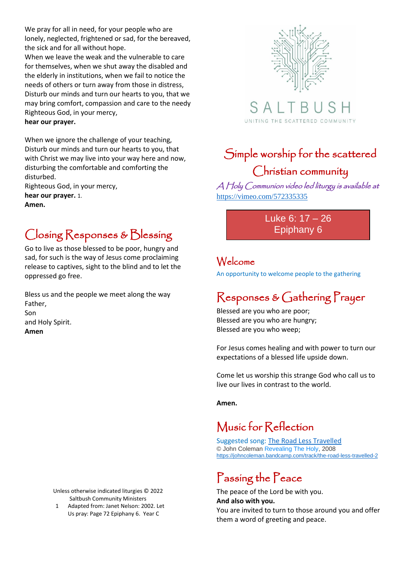We pray for all in need, for your people who are lonely, neglected, frightened or sad, for the bereaved, the sick and for all without hope.

When we leave the weak and the vulnerable to care for themselves, when we shut away the disabled and the elderly in institutions, when we fail to notice the needs of others or turn away from those in distress, Disturb our minds and turn our hearts to you, that we may bring comfort, compassion and care to the needy Righteous God, in your mercy,

#### **hear our prayer.**

When we ignore the challenge of your teaching, Disturb our minds and turn our hearts to you, that with Christ we may live into your way here and now, disturbing the comfortable and comforting the disturbed.

Righteous God, in your mercy, **hear our prayer.** 1.

**Amen.** 

### Closing Responses & Blessing

Go to live as those blessed to be poor, hungry and sad, for such is the way of Jesus come proclaiming release to captives, sight to the blind and to let the oppressed go free.

Bless us and the people we meet along the way Father, Son and Holy Spirit. **Amen**

> Unless otherwise indicated liturgies © 2022 Saltbush Community Ministers

1 Adapted from: Janet Nelson: 2002. Let Us pray: Page 72 Epiphany 6. Year C



S A UNITING THE SCATTERED COMMUNITY

## Simple worship for the scattered Christian community

A Holy Communion video led liturgy is available at <https://vimeo.com/572335335>

> Luke 6: 17 – 26 Epiphany 6

#### Welcome

An opportunity to welcome people to the gathering

#### Responses & Gathering Prayer

Blessed are you who are poor; Blessed are you who are hungry; Blessed are you who weep;

For Jesus comes healing and with power to turn our expectations of a blessed life upside down.

Come let us worship this strange God who call us to live our lives in contrast to the world.

**Amen.**

#### Music for Reflection

Suggested song: [The Road Less Travelled](https://johncoleman.bandcamp.com/track/the-road-less-travelled-2) © John Coleman [Revealing The Holy,](https://johncoleman.bandcamp.com/album/revealing-the-holy) 2008 <https://johncoleman.bandcamp.com/track/the-road-less-travelled-2>

# Passing the Peace

The peace of the Lord be with you. **And also with you.** You are invited to turn to those around you and offer them a word of greeting and peace.